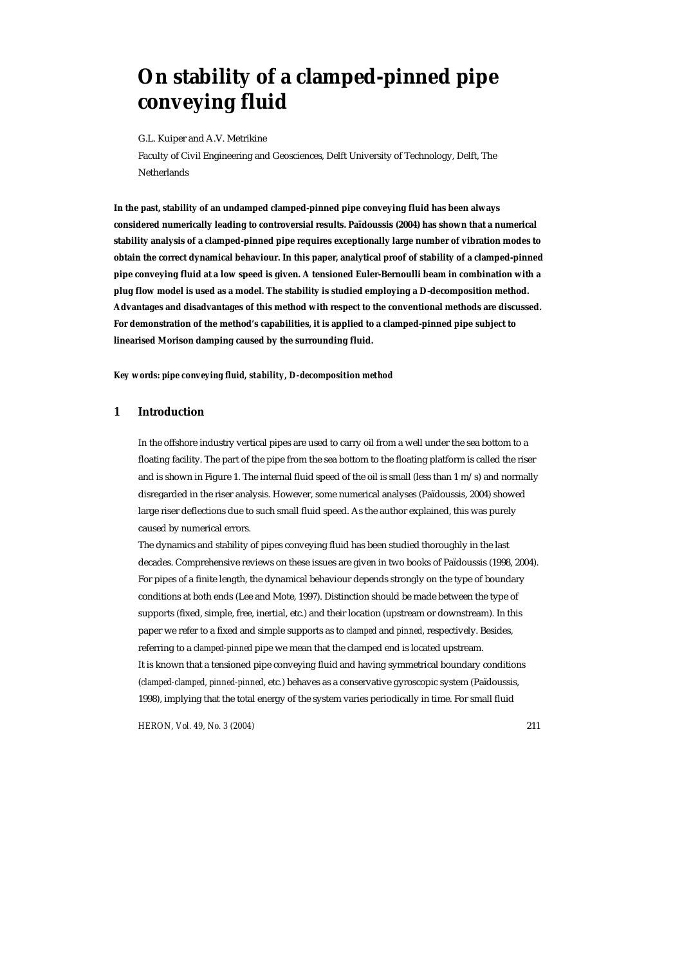# **On stability of a clamped-pinned pipe conveying fluid**

G.L. Kuiper and A.V. Metrikine

Faculty of Civil Engineering and Geosciences, Delft University of Technology, Delft, The **Netherlands** 

**In the past, stability of an undamped clamped-pinned pipe conveying fluid has been always considered numerically leading to controversial results. Païdoussis (2004) has shown that a numerical stability analysis of a clamped-pinned pipe requires exceptionally large number of vibration modes to obtain the correct dynamical behaviour. In this paper, analytical proof of stability of a clamped-pinned pipe conveying fluid at a low speed is given. A tensioned Euler-Bernoulli beam in combination with a plug flow model is used as a model. The stability is studied employing a D-decomposition method. Advantages and disadvantages of this method with respect to the conventional methods are discussed. For demonstration of the method's capabilities, it is applied to a clamped-pinned pipe subject to linearised Morison damping caused by the surrounding fluid.** 

*Key words: pipe conveying fluid, stability, D-decomposition method* 

## **1 Introduction**

In the offshore industry vertical pipes are used to carry oil from a well under the sea bottom to a floating facility. The part of the pipe from the sea bottom to the floating platform is called the riser and is shown in Figure 1. The internal fluid speed of the oil is small (less than  $1 \text{ m/s}$ ) and normally disregarded in the riser analysis. However, some numerical analyses (Païdoussis, 2004) showed large riser deflections due to such small fluid speed. As the author explained, this was purely caused by numerical errors.

The dynamics and stability of pipes conveying fluid has been studied thoroughly in the last decades. Comprehensive reviews on these issues are given in two books of Païdoussis (1998, 2004). For pipes of a finite length, the dynamical behaviour depends strongly on the type of boundary conditions at both ends (Lee and Mote, 1997). Distinction should be made between the type of supports (fixed, simple, free, inertial, etc.) and their location (upstream or downstream). In this paper we refer to a fixed and simple supports as to *clamped* and *pinned*, respectively. Besides, referring to a *clamped-pinned* pipe we mean that the clamped end is located upstream. It is known that a tensioned pipe conveying fluid and having symmetrical boundary conditions (*clamped-clamped, pinned-pinned*, etc.) behaves as a conservative gyroscopic system (Païdoussis, 1998), implying that the total energy of the system varies periodically in time. For small fluid

*HERON, Vol. 49, No. 3 (2004)* 211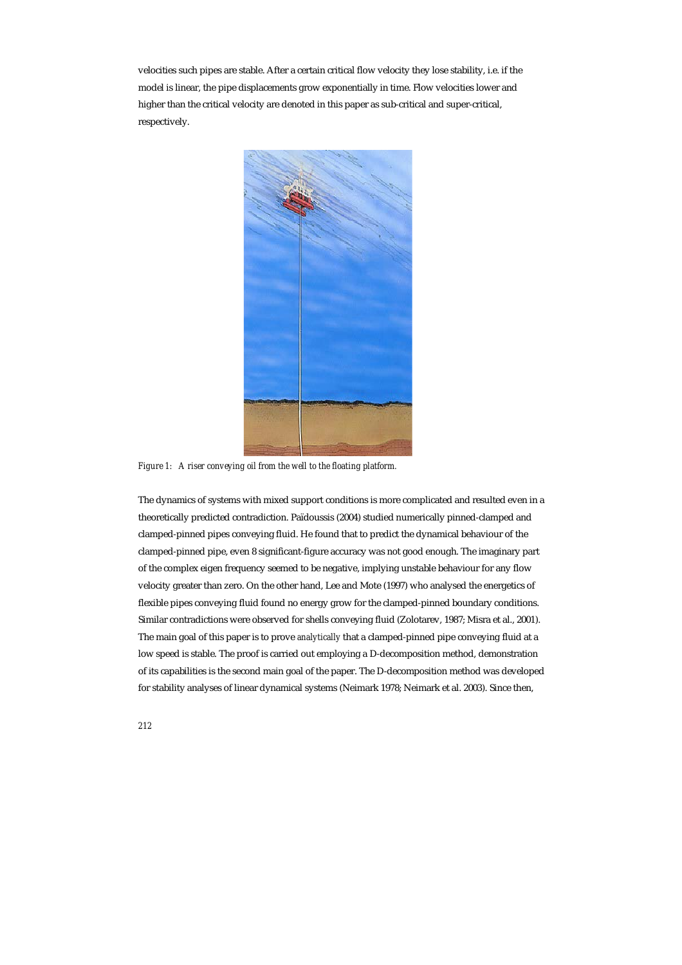velocities such pipes are stable. After a certain critical flow velocity they lose stability, i.e. if the model is linear, the pipe displacements grow exponentially in time. Flow velocities lower and higher than the critical velocity are denoted in this paper as sub-critical and super-critical, respectively.



*Figure 1: A riser conveying oil from the well to the floating platform.* 

The dynamics of systems with mixed support conditions is more complicated and resulted even in a theoretically predicted contradiction. Païdoussis (2004) studied numerically pinned-clamped and clamped-pinned pipes conveying fluid. He found that to predict the dynamical behaviour of the clamped-pinned pipe, even 8 significant-figure accuracy was not good enough. The imaginary part of the complex eigen frequency seemed to be negative, implying unstable behaviour for any flow velocity greater than zero. On the other hand, Lee and Mote (1997) who analysed the energetics of flexible pipes conveying fluid found no energy grow for the clamped-pinned boundary conditions. Similar contradictions were observed for shells conveying fluid (Zolotarev, 1987; Misra et al., 2001). The main goal of this paper is to prove *analytically* that a clamped-pinned pipe conveying fluid at a low speed is stable. The proof is carried out employing a D-decomposition method, demonstration of its capabilities is the second main goal of the paper. The D-decomposition method was developed for stability analyses of linear dynamical systems (Neimark 1978; Neimark et al. 2003). Since then,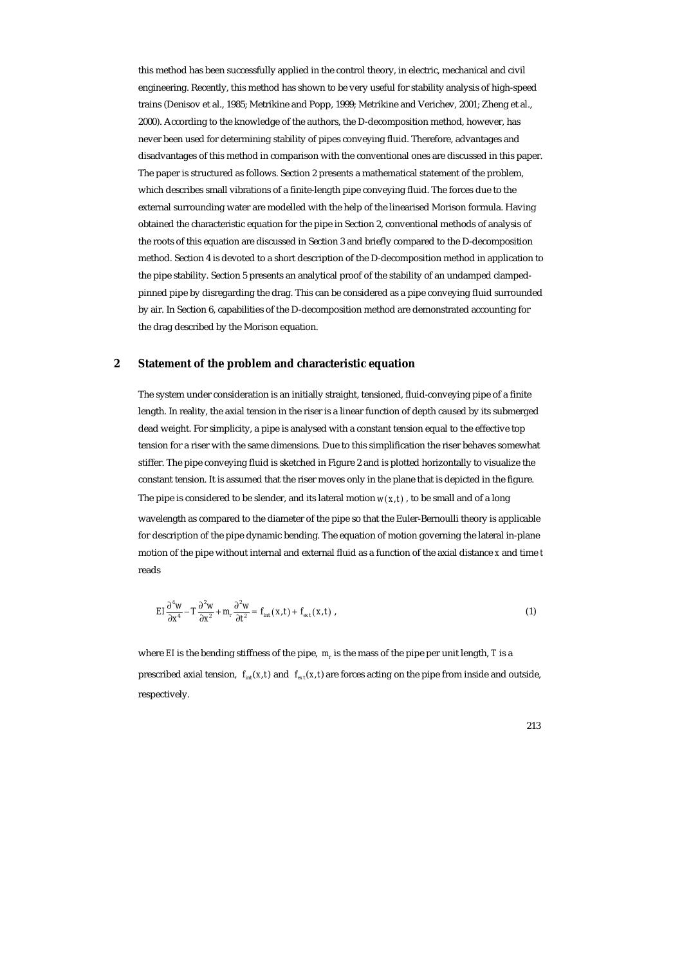this method has been successfully applied in the control theory, in electric, mechanical and civil engineering. Recently, this method has shown to be very useful for stability analysis of high-speed trains (Denisov et al., 1985; Metrikine and Popp, 1999; Metrikine and Verichev, 2001; Zheng et al., 2000). According to the knowledge of the authors, the D-decomposition method, however, has never been used for determining stability of pipes conveying fluid. Therefore, advantages and disadvantages of this method in comparison with the conventional ones are discussed in this paper. The paper is structured as follows. Section 2 presents a mathematical statement of the problem, which describes small vibrations of a finite-length pipe conveying fluid. The forces due to the external surrounding water are modelled with the help of the linearised Morison formula. Having obtained the characteristic equation for the pipe in Section 2, conventional methods of analysis of the roots of this equation are discussed in Section 3 and briefly compared to the D-decomposition method. Section 4 is devoted to a short description of the D-decomposition method in application to the pipe stability. Section 5 presents an analytical proof of the stability of an undamped clampedpinned pipe by disregarding the drag. This can be considered as a pipe conveying fluid surrounded by air. In Section 6, capabilities of the D-decomposition method are demonstrated accounting for the drag described by the Morison equation.

## **2 Statement of the problem and characteristic equation**

The system under consideration is an initially straight, tensioned, fluid-conveying pipe of a finite length. In reality, the axial tension in the riser is a linear function of depth caused by its submerged dead weight. For simplicity, a pipe is analysed with a constant tension equal to the effective top tension for a riser with the same dimensions. Due to this simplification the riser behaves somewhat stiffer. The pipe conveying fluid is sketched in Figure 2 and is plotted horizontally to visualize the constant tension. It is assumed that the riser moves only in the plane that is depicted in the figure. The pipe is considered to be slender, and its lateral motion  $w(x,t)$ , to be small and of a long wavelength as compared to the diameter of the pipe so that the Euler-Bernoulli theory is applicable for description of the pipe dynamic bending. The equation of motion governing the lateral in-plane motion of the pipe without internal and external fluid as a function of the axial distance *x* and time *t*  reads

$$
EI\frac{\partial^4 w}{\partial x^4} - T\frac{\partial^2 w}{\partial x^2} + m_r \frac{\partial^2 w}{\partial t^2} = f_{int}(x, t) + f_{ext}(x, t) ,
$$
 (1)

where *EI* is the bending stiffness of the pipe, *m* is the mass of the pipe per unit length, *T* is a prescribed axial tension,  $f_{int}(x, t)$  and  $f_{ext}(x, t)$  are forces acting on the pipe from inside and outside, respectively.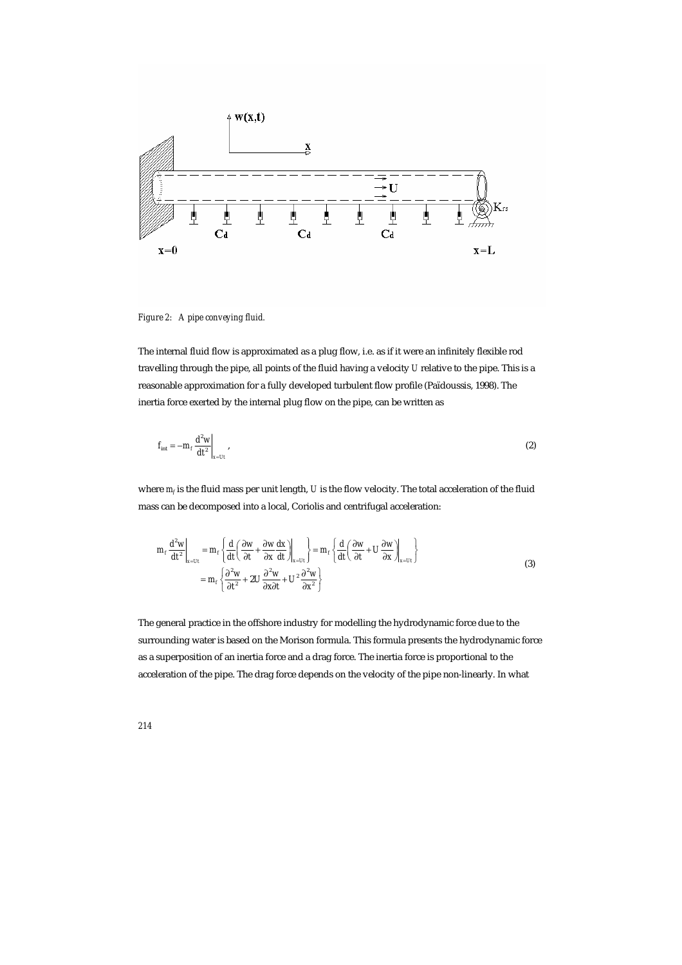

*Figure 2: A pipe conveying fluid.* 

The internal fluid flow is approximated as a plug flow, i.e. as if it were an infinitely flexible rod travelling through the pipe, all points of the fluid having a velocity *U* relative to the pipe. This is a reasonable approximation for a fully developed turbulent flow profile (Païdoussis, 1998). The inertia force exerted by the internal plug flow on the pipe, can be written as

$$
f_{\rm int} = -m_f \frac{d^2 w}{dt^2}\bigg|_{x = Ut},\tag{2}
$$

where  $m_f$  is the fluid mass per unit length, *U* is the flow velocity. The total acceleration of the fluid mass can be decomposed into a local, Coriolis and centrifugal acceleration:

$$
m_{f} \frac{d^{2}w}{dt^{2}}\bigg|_{x=Ut} = m_{f} \left\{ \frac{d}{dt} \left( \frac{\partial w}{\partial t} + \frac{\partial w}{\partial x} \frac{dx}{dt} \right) \bigg|_{x=Ut} \right\} = m_{f} \left\{ \frac{d}{dt} \left( \frac{\partial w}{\partial t} + U \frac{\partial w}{\partial x} \right) \bigg|_{x=Ut} \right\}
$$
  

$$
= m_{f} \left\{ \frac{\partial^{2} w}{\partial t^{2}} + 2U \frac{\partial^{2} w}{\partial x \partial t} + U^{2} \frac{\partial^{2} w}{\partial x^{2}} \right\}
$$
(3)

The general practice in the offshore industry for modelling the hydrodynamic force due to the surrounding water is based on the Morison formula. This formula presents the hydrodynamic force as a superposition of an inertia force and a drag force. The inertia force is proportional to the acceleration of the pipe. The drag force depends on the velocity of the pipe non-linearly. In what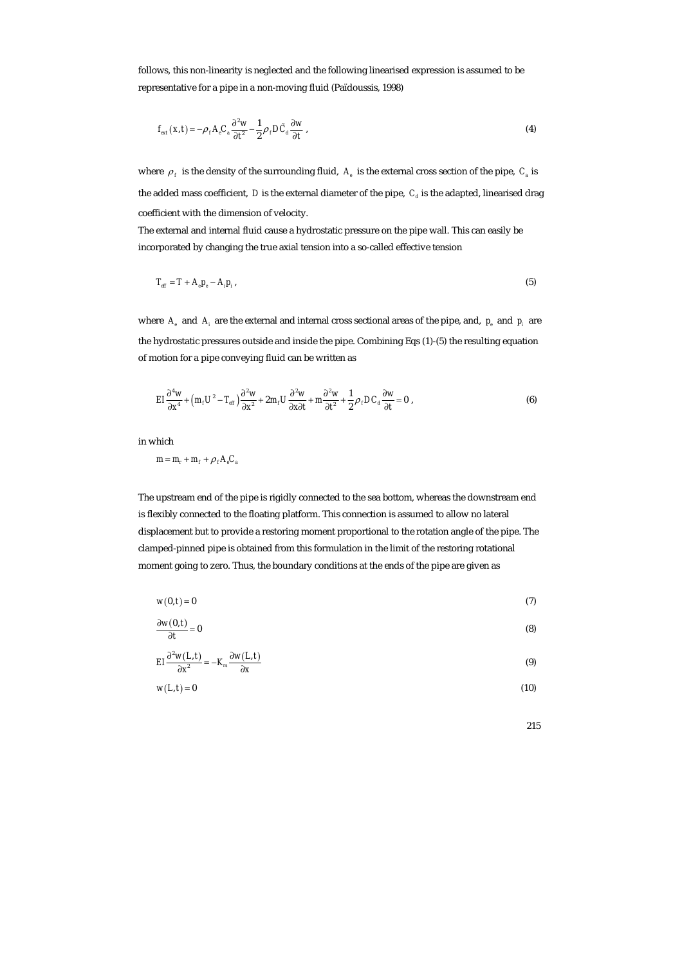follows, this non-linearity is neglected and the following linearised expression is assumed to be representative for a pipe in a non-moving fluid (Païdoussis, 1998)

$$
f_{\text{ext}}(x,t) = -\rho_f A_e C_a \frac{\partial^2 w}{\partial t^2} - \frac{1}{2} \rho_f D \tilde{C}_d \frac{\partial w}{\partial t},
$$
\n(4)

where  $\rho_f$  is the density of the surrounding fluid,  $A_e$  is the external cross section of the pipe,  $C_a$  is the added mass coefficient,  $D$  is the external diameter of the pipe,  $C_d$  is the adapted, linearised drag coefficient with the dimension of velocity.

The external and internal fluid cause a hydrostatic pressure on the pipe wall. This can easily be incorporated by changing the true axial tension into a so-called effective tension

$$
T_{\rm eff} = T + A_{\rm e} p_{\rm e} - A_{\rm i} p_{\rm i} \,,\tag{5}
$$

where  $A_{i}$  and  $A_{i}$  are the external and internal cross sectional areas of the pipe, and,  $p_{i}$  and  $p_{i}$  are the hydrostatic pressures outside and inside the pipe. Combining Eqs (1)-(5) the resulting equation of motion for a pipe conveying fluid can be written as

$$
EI\frac{\partial^4 w}{\partial x^4} + \left(m_t U^2 - T_{\text{eff}}\right) \frac{\partial^2 w}{\partial x^2} + 2m_t U \frac{\partial^2 w}{\partial x \partial t} + m \frac{\partial^2 w}{\partial t^2} + \frac{1}{2} \rho_t DC_d \frac{\partial w}{\partial t} = 0,
$$
\n(6)

in which

$$
m = m_r + m_f + \rho_f A_e C_a
$$

The upstream end of the pipe is rigidly connected to the sea bottom, whereas the downstream end is flexibly connected to the floating platform. This connection is assumed to allow no lateral displacement but to provide a restoring moment proportional to the rotation angle of the pipe. The clamped-pinned pipe is obtained from this formulation in the limit of the restoring rotational moment going to zero. Thus, the boundary conditions at the ends of the pipe are given as

$$
w(0,t) = 0 \tag{7}
$$

$$
\frac{\partial w(0,t)}{\partial t} = 0
$$
 (8)

$$
EI\frac{\partial^2 w(L,t)}{\partial x^2} = -K_{rs}\frac{\partial w(L,t)}{\partial x}
$$
 (9)

$$
w(L,t) = 0 \tag{10}
$$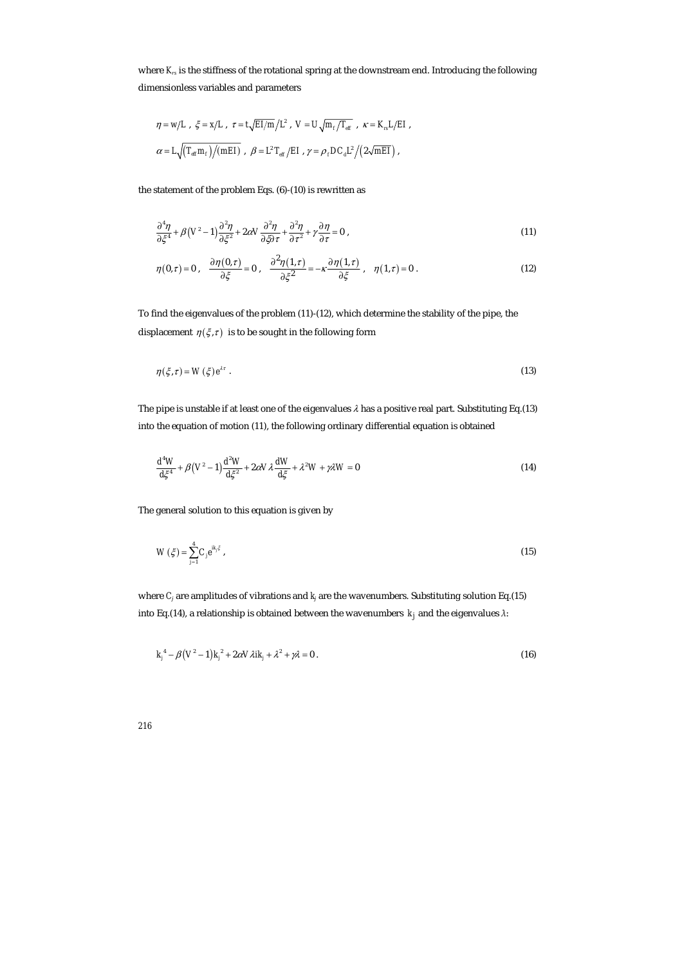where  $K_{r}$  is the stiffness of the rotational spring at the downstream end. Introducing the following dimensionless variables and parameters

$$
\begin{array}{l} \eta=w/L \ , \ \xi=x/L \ , \ \tau=t\sqrt{EI/m}\left/L^2 \ , \ V=U\sqrt{m_{\scriptscriptstyle f}/T_{\rm eff}} \ , \ \kappa=K_{\scriptscriptstyle \rm rs}L/EI \ , \\ \\ \alpha=L\sqrt{\left(T_{\rm eff}m_{\scriptscriptstyle f}\right)\middle/(mEI)} \ , \ \beta=L^2 \ T_{\rm eff}\left/EI \ , \ \gamma=\rho_{\scriptscriptstyle f}DC_{\rm d}L^2\left/\left(2\sqrt{mEI}\right)\right., \end{array}
$$

the statement of the problem Eqs. (6)-(10) is rewritten as

$$
\frac{\partial^4 \eta}{\partial \xi^4} + \beta \left( V^2 - 1 \right) \frac{\partial^2 \eta}{\partial \xi^2} + 2 \alpha V \frac{\partial^2 \eta}{\partial \xi \partial \tau} + \frac{\partial^2 \eta}{\partial \tau^2} + \gamma \frac{\partial \eta}{\partial \tau} = 0 \tag{11}
$$

$$
\eta(0,\tau)=0\;,\quad \frac{\partial \eta(0,\tau)}{\partial \xi}=0\;,\quad \frac{\partial^2 \eta(1,\tau)}{\partial \xi^2}=-\kappa\frac{\partial \eta(1,\tau)}{\partial \xi}\;,\quad \eta(1,\tau)=0\;.\tag{12}
$$

To find the eigenvalues of the problem (11)-(12), which determine the stability of the pipe, the displacement  $\eta(\xi, \tau)$  is to be sought in the following form

$$
\eta(\xi,\tau) = W(\xi)e^{\lambda \tau} \tag{13}
$$

The pipe is unstable if at least one of the eigenvalues  $\lambda$  has a positive real part. Substituting Eq.(13) into the equation of motion (11), the following ordinary differential equation is obtained

$$
\frac{d^4W}{d\xi^4} + \beta\left(V^2 - 1\right)\frac{d^2W}{d\xi^2} + 2\alpha V\lambda \frac{dW}{d\xi} + \lambda^2 W + \gamma\lambda W = 0\tag{14}
$$

The general solution to this equation is given by

$$
W(\xi) = \sum_{j=1}^{4} C_j e^{ik_j \xi} \,, \tag{15}
$$

where *Cj* are amplitudes of vibrations and *kj* are the wavenumbers. Substituting solution Eq.(15) into Eq.(14), a relationship is obtained between the wavenumbers  $k_j$  and the eigenvalues  $\lambda$ :

$$
k_j^4 - \beta (V^2 - 1) k_j^2 + 2 \alpha V \lambda i k_j + \lambda^2 + \gamma \lambda = 0.
$$
 (16)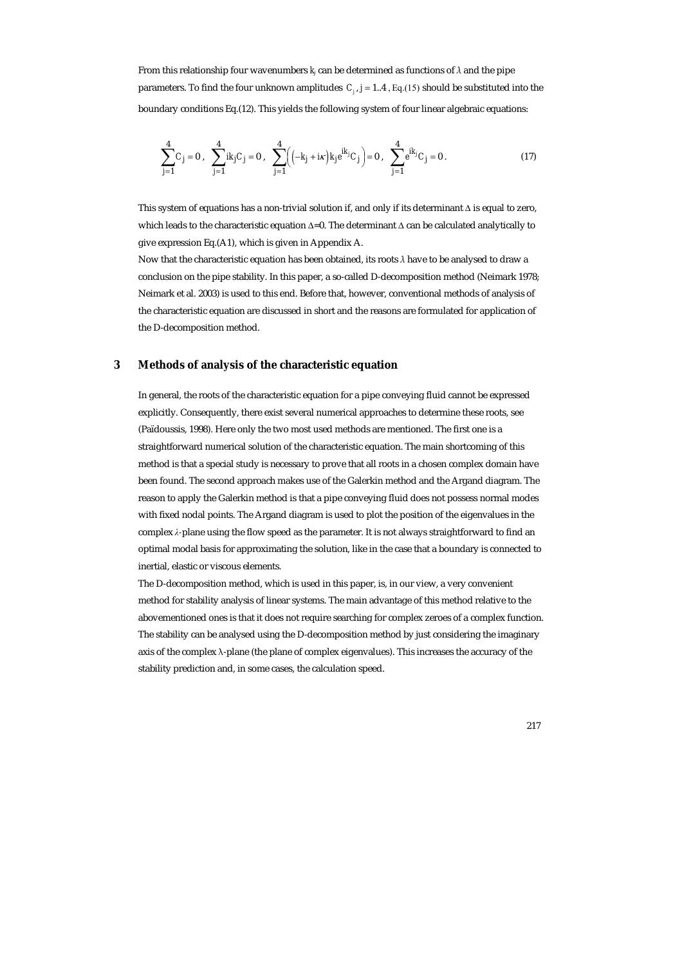From this relationship four wavenumbers  $k_i$  can be determined as functions of  $\lambda$  and the pipe parameters. To find the four unknown amplitudes  $C_i$ ,  $j = 1..4$ , Eq.(15) should be substituted into the boundary conditions Eq.(12). This yields the following system of four linear algebraic equations:

$$
\sum_{j=1}^{4} C_j = 0 \ , \quad \sum_{j=1}^{4} i k_j C_j = 0 \ , \quad \sum_{j=1}^{4} \Big( \Big( -k_j + i\kappa \Big) k_j e^{ik_j} C_j \Big) = 0 \ , \quad \sum_{j=1}^{4} e^{ik_j} C_j = 0 \ . \tag{17}
$$

This system of equations has a non-trivial solution if, and only if its determinant ∆ is equal to zero, which leads to the characteristic equation ∆=0. The determinant ∆ can be calculated analytically to give expression Eq.(A1), which is given in Appendix A.

Now that the characteristic equation has been obtained, its roots *λ* have to be analysed to draw a conclusion on the pipe stability. In this paper, a so-called D-decomposition method (Neimark 1978; Neimark et al. 2003) is used to this end. Before that, however, conventional methods of analysis of the characteristic equation are discussed in short and the reasons are formulated for application of the D-decomposition method.

#### **3 Methods of analysis of the characteristic equation**

In general, the roots of the characteristic equation for a pipe conveying fluid cannot be expressed explicitly. Consequently, there exist several numerical approaches to determine these roots, see (Païdoussis, 1998). Here only the two most used methods are mentioned. The first one is a straightforward numerical solution of the characteristic equation. The main shortcoming of this method is that a special study is necessary to prove that all roots in a chosen complex domain have been found. The second approach makes use of the Galerkin method and the Argand diagram. The reason to apply the Galerkin method is that a pipe conveying fluid does not possess normal modes with fixed nodal points. The Argand diagram is used to plot the position of the eigenvalues in the complex *λ-*plane using the flow speed as the parameter. It is not always straightforward to find an optimal modal basis for approximating the solution, like in the case that a boundary is connected to inertial, elastic or viscous elements.

The D-decomposition method, which is used in this paper, is, in our view, a very convenient method for stability analysis of linear systems. The main advantage of this method relative to the abovementioned ones is that it does not require searching for complex zeroes of a complex function. The stability can be analysed using the D-decomposition method by just considering the imaginary axis of the complex λ-plane (the plane of complex eigenvalues). This increases the accuracy of the stability prediction and, in some cases, the calculation speed.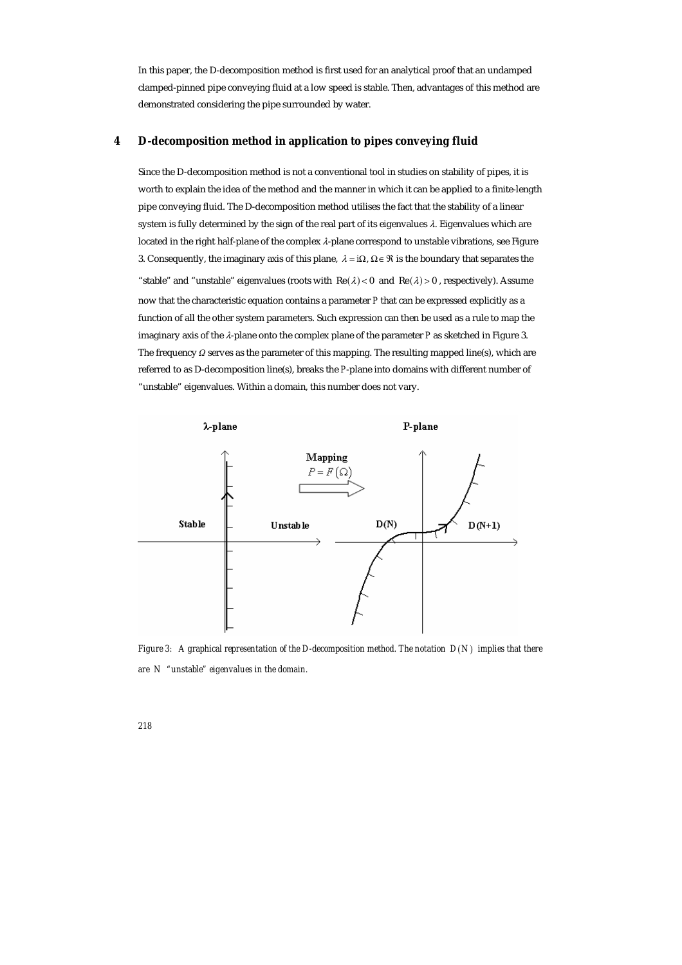In this paper, the D-decomposition method is first used for an analytical proof that an undamped clamped-pinned pipe conveying fluid at a low speed is stable. Then, advantages of this method are demonstrated considering the pipe surrounded by water.

#### **4 D-decomposition method in application to pipes conveying fluid**

Since the D-decomposition method is not a conventional tool in studies on stability of pipes, it is worth to explain the idea of the method and the manner in which it can be applied to a finite-length pipe conveying fluid. The D-decomposition method utilises the fact that the stability of a linear system is fully determined by the sign of the real part of its eigenvalues  $\lambda$ . Eigenvalues which are located in the right half-plane of the complex λ-plane correspond to unstable vibrations, see Figure 3. Consequently, the imaginary axis of this plane,  $\lambda = i\Omega$ ,  $\Omega \in \mathcal{R}$  is the boundary that separates the "stable" and "unstable" eigenvalues (roots with  $\text{Re}(\lambda) < 0$  and  $\text{Re}(\lambda) > 0$ , respectively). Assume now that the characteristic equation contains a parameter *P* that can be expressed explicitly as a function of all the other system parameters. Such expression can then be used as a rule to map the imaginary axis of the λ-plane onto the complex plane of the parameter *P* as sketched in Figure 3. The frequency *Ω* serves as the parameter of this mapping. The resulting mapped line(s), which are referred to as D-decomposition line(s), breaks the *P*-plane into domains with different number of "unstable" eigenvalues. Within a domain, this number does not vary.



*Figure 3:* A graphical representation of the D-decomposition method. The notation  $D(N)$  implies that there *are N "unstable" eigenvalues in the domain.*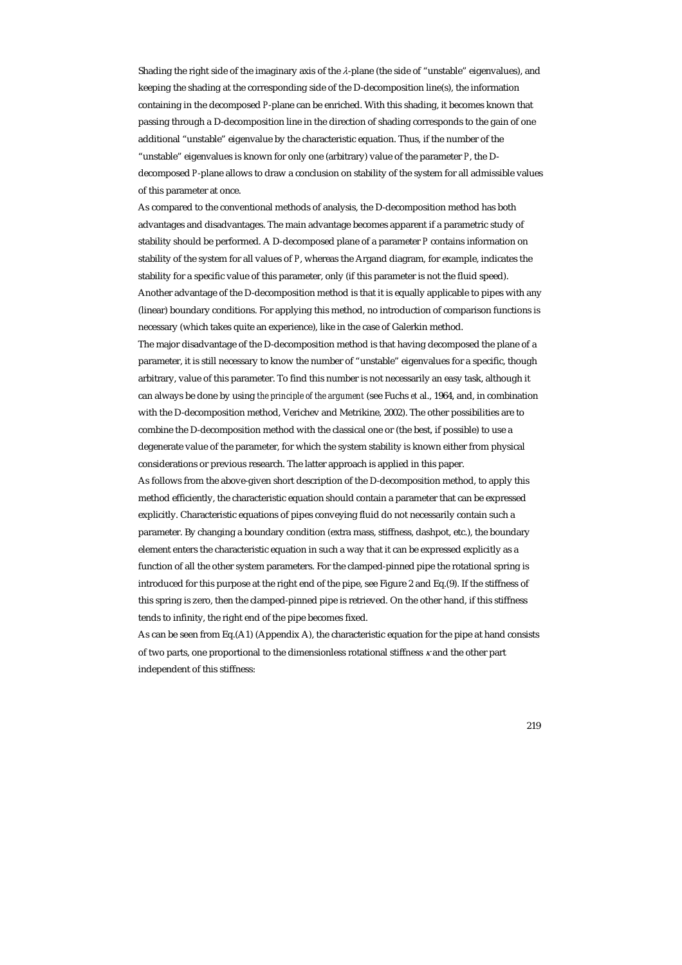Shading the right side of the imaginary axis of the  $\lambda$ -plane (the side of "unstable" eigenvalues), and keeping the shading at the corresponding side of the D-decomposition line(s), the information containing in the decomposed *P*-plane can be enriched. With this shading, it becomes known that passing through a D-decomposition line in the direction of shading corresponds to the gain of one additional "unstable" eigenvalue by the characteristic equation. Thus, if the number of the "unstable" eigenvalues is known for only one (arbitrary) value of the parameter *P*, the Ddecomposed *P*-plane allows to draw a conclusion on stability of the system for all admissible values of this parameter at once.

As compared to the conventional methods of analysis, the D-decomposition method has both advantages and disadvantages. The main advantage becomes apparent if a parametric study of stability should be performed. A D-decomposed plane of a parameter *P* contains information on stability of the system for all values of *P*, whereas the Argand diagram, for example, indicates the stability for a specific value of this parameter, only (if this parameter is not the fluid speed). Another advantage of the D-decomposition method is that it is equally applicable to pipes with any (linear) boundary conditions. For applying this method, no introduction of comparison functions is necessary (which takes quite an experience), like in the case of Galerkin method.

The major disadvantage of the D-decomposition method is that having decomposed the plane of a parameter, it is still necessary to know the number of "unstable" eigenvalues for a specific, though arbitrary, value of this parameter. To find this number is not necessarily an easy task, although it can always be done by using *the principle of the argument* (see Fuchs *et* al., 1964, and, in combination with the D-decomposition method, Verichev and Metrikine, 2002). The other possibilities are to combine the D-decomposition method with the classical one or (the best, if possible) to use a degenerate value of the parameter, for which the system stability is known either from physical considerations or previous research. The latter approach is applied in this paper.

As follows from the above-given short description of the D-decomposition method, to apply this method efficiently, the characteristic equation should contain a parameter that can be expressed explicitly. Characteristic equations of pipes conveying fluid do not necessarily contain such a parameter. By changing a boundary condition (extra mass, stiffness, dashpot, etc.), the boundary element enters the characteristic equation in such a way that it can be expressed explicitly as a function of all the other system parameters. For the clamped-pinned pipe the rotational spring is introduced for this purpose at the right end of the pipe, see Figure 2 and Eq.(9). If the stiffness of this spring is zero, then the clamped-pinned pipe is retrieved. On the other hand, if this stiffness tends to infinity, the right end of the pipe becomes fixed.

As can be seen from Eq.(A1) (Appendix A), the characteristic equation for the pipe at hand consists of two parts, one proportional to the dimensionless rotational stiffness <sup>κ</sup> and the other part independent of this stiffness: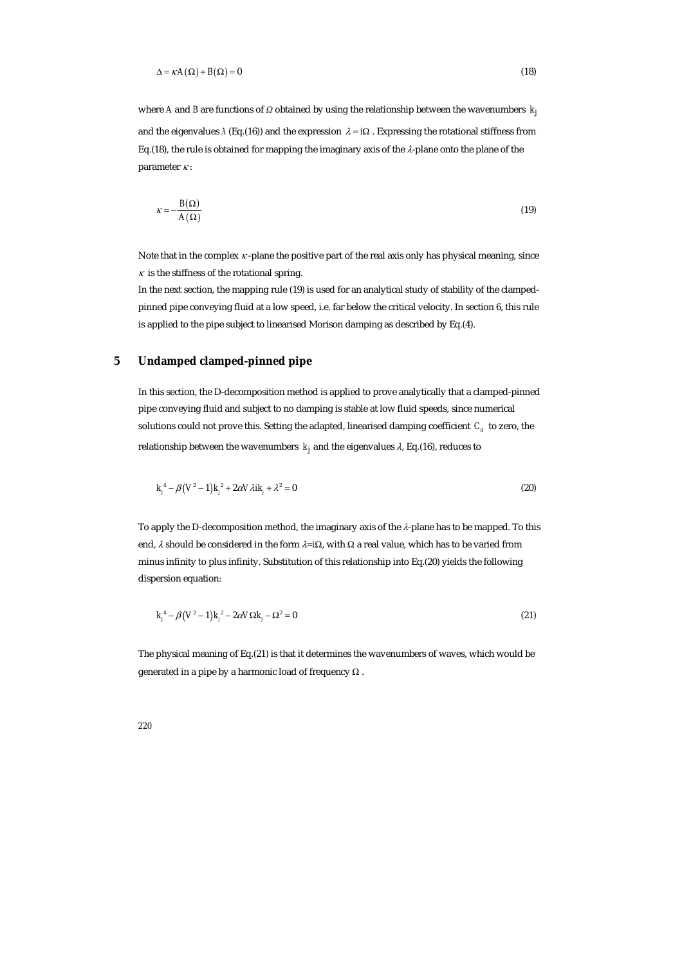$$
\Delta = \kappa A(\Omega) + B(\Omega) = 0 \tag{18}
$$

where *A* and *B* are functions of *Ω* obtained by using the relationship between the wavenumbers  $k_i$ and the eigenvalues  $\lambda$  (Eq.(16)) and the expression  $\lambda = i\Omega$ . Expressing the rotational stiffness from Eq.(18), the rule is obtained for mapping the imaginary axis of the  $\lambda$ -plane onto the plane of the parameter  $\kappa$ :

$$
\kappa = -\frac{B(\Omega)}{A(\Omega)}\tag{19}
$$

Note that in the complex  $\kappa$ -plane the positive part of the real axis only has physical meaning, since  $\kappa$  is the stiffness of the rotational spring.

In the next section, the mapping rule (19) is used for an analytical study of stability of the clampedpinned pipe conveying fluid at a low speed, i.e. far below the critical velocity. In section 6, this rule is applied to the pipe subject to linearised Morison damping as described by Eq.(4).

## **5 Undamped clamped-pinned pipe**

In this section, the D-decomposition method is applied to prove analytically that a clamped-pinned pipe conveying fluid and subject to no damping is stable at low fluid speeds, since numerical solutions could not prove this. Setting the adapted, linearised damping coefficient  $C_d$  to zero, the relationship between the wavenumbers  $k_i$  and the eigenvalues  $\lambda$ , Eq.(16), reduces to

$$
k_j^4 - \beta (V^2 - 1) k_j^2 + 2 \alpha V \lambda i k_j + \lambda^2 = 0
$$
 (20)

To apply the D-decomposition method, the imaginary axis of the  $\lambda$ -plane has to be mapped. To this end, λ should be considered in the form λ*=i*Ω, with Ω a real value, which has to be varied from minus infinity to plus infinity. Substitution of this relationship into Eq.(20) yields the following dispersion equation:

$$
k_j^4 - \beta (V^2 - 1)k_j^2 - 2\alpha V \Omega k_j - \Omega^2 = 0
$$
 (21)

The physical meaning of Eq.(21) is that it determines the wavenumbers of waves, which would be generated in a pipe by a harmonic load of frequency  $\Omega$ .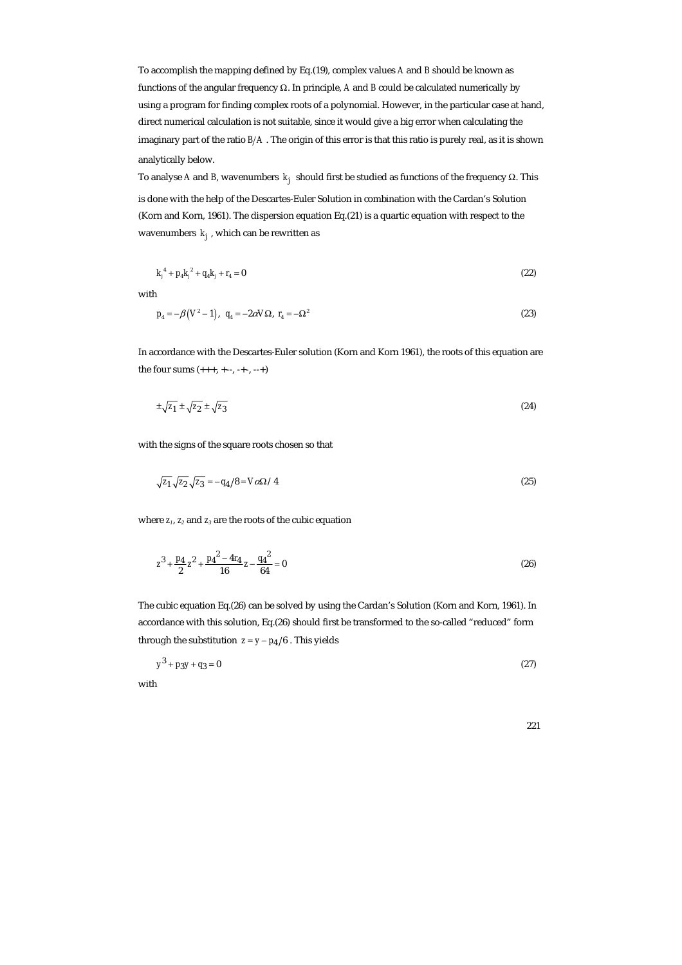To accomplish the mapping defined by Eq.(19), complex values *A* and *B* should be known as functions of the angular frequency Ω. In principle, *A* and *B* could be calculated numerically by using a program for finding complex roots of a polynomial. However, in the particular case at hand, direct numerical calculation is not suitable, since it would give a big error when calculating the imaginary part of the ratio  $B/A$  . The origin of this error is that this ratio is purely real, as it is shown analytically below.

To analyse *A* and *B*, wavenumbers  $k_j$  should first be studied as functions of the frequency  $\Omega$ . This is done with the help of the Descartes-Euler Solution in combination with the Cardan's Solution (Korn and Korn, 1961). The dispersion equation Eq.(21) is a quartic equation with respect to the wavenumbers  $k_i$ , which can be rewritten as

$$
k_j^4 + p_4 k_j^2 + q_4 k_j + r_4 = 0 \tag{22}
$$

with

$$
p_4 = -\beta (V^2 - 1), q_4 = -2\alpha V\Omega, r_4 = -\Omega^2
$$
\n(23)

In accordance with the Descartes-Euler solution (Korn and Korn 1961), the roots of this equation are the four sums (+++, +--, -+-, --+)

$$
\pm \sqrt{z_1} \pm \sqrt{z_2} \pm \sqrt{z_3} \tag{24}
$$

with the signs of the square roots chosen so that

$$
\sqrt{z_1} \sqrt{z_2} \sqrt{z_3} = -q_4/8 = V \alpha \Omega / 4 \tag{25}
$$

where *z1*, *z2* and *z3* are the roots of the cubic equation

$$
z^3 + \frac{p_4}{2}z^2 + \frac{p_4^2 - 4r_4}{16}z - \frac{q_4^2}{64} = 0
$$
 (26)

The cubic equation Eq.(26) can be solved by using the Cardan's Solution (Korn and Korn, 1961). In accordance with this solution, Eq.(26) should first be transformed to the so-called "reduced" form through the substitution  $z = y - p_4/6$ . This yields

$$
y^3 + p_3 y + q_3 = 0 \tag{27}
$$

with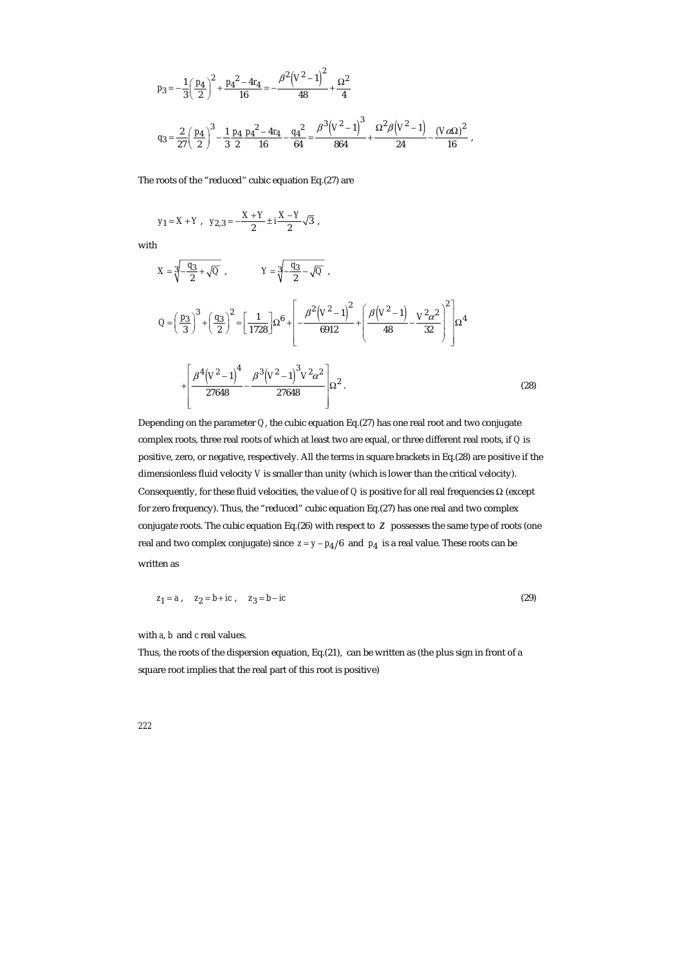$$
\begin{split} p_3 & = -\frac{1}{3} \bigg( \frac{p_4}{2} \bigg)^2 + \frac{{p_4}^2 - 4 r_4}{16} = -\frac{{\beta}^2 \left( V^2 - 1 \right)^2}{48} + \frac{\Omega^2}{4} \\ q_3 & = \frac{2}{27} \bigg( \frac{p_4}{2} \bigg)^3 - \frac{1}{3} \frac{p_4}{2} \frac{{p_4}^2 - 4 r_4}{16} - \frac{{q_4}^2}{64} = \frac{{\beta}^3 \bigg( V^2 - 1 \bigg)^3}{864} + \frac{\Omega^2 \beta \bigg( V^2 - 1 \bigg)}{24} - \frac{\big( V \alpha \Omega \big)^2}{16} \ , \end{split}
$$

The roots of the "reduced" cubic equation Eq.(27) are

$$
y_1 = X + Y
$$
,  $y_{2,3} = -\frac{X+Y}{2} \pm i\frac{X-Y}{2}\sqrt{3}$ ,

with

$$
X = \sqrt[3]{-\frac{q_3}{2} + \sqrt{Q}} , \qquad Y = \sqrt[3]{-\frac{q_3}{2} - \sqrt{Q}} ,
$$
  
\n
$$
Q = \left(\frac{p_3}{3}\right)^3 + \left(\frac{q_3}{2}\right)^2 = \left[\frac{1}{1728}\right] \Omega^6 + \left[-\frac{\beta^2 \left(V^2 - 1\right)^2}{6912} + \left(\frac{\beta \left(V^2 - 1\right)}{48} - \frac{V^2 \alpha^2}{32}\right)^2\right] \Omega^4
$$
  
\n
$$
+ \left[\frac{\beta^4 \left(V^2 - 1\right)^4}{27648} - \frac{\beta^3 \left(V^2 - 1\right)^3 V^2 \alpha^2}{27648}\right] \Omega^2 . \tag{28}
$$

Depending on the parameter *Q*, the cubic equation Eq.(27) has one real root and two conjugate complex roots, three real roots of which at least two are equal, or three different real roots, if *Q* is positive, zero, or negative, respectively. All the terms in square brackets in Eq.(28) are positive if the dimensionless fluid velocity *V* is smaller than unity (which is lower than the critical velocity). Consequently, for these fluid velocities, the value of *Q* is positive for all real frequencies Ω (except for zero frequency). Thus, the "reduced" cubic equation Eq.(27) has one real and two complex conjugate roots. The cubic equation Eq.(26) with respect to *z* possesses the same type of roots (one real and two complex conjugate) since  $z = y - p_4/6$  and  $p_4$  is a real value. These roots can be written as

$$
z_1 = a
$$
,  $z_2 = b + ic$ ,  $z_3 = b - ic$  (29)

with *a*, *b* and *c* real values.

Thus, the roots of the dispersion equation, Eq.(21), can be written as (the plus sign in front of a square root implies that the real part of this root is positive)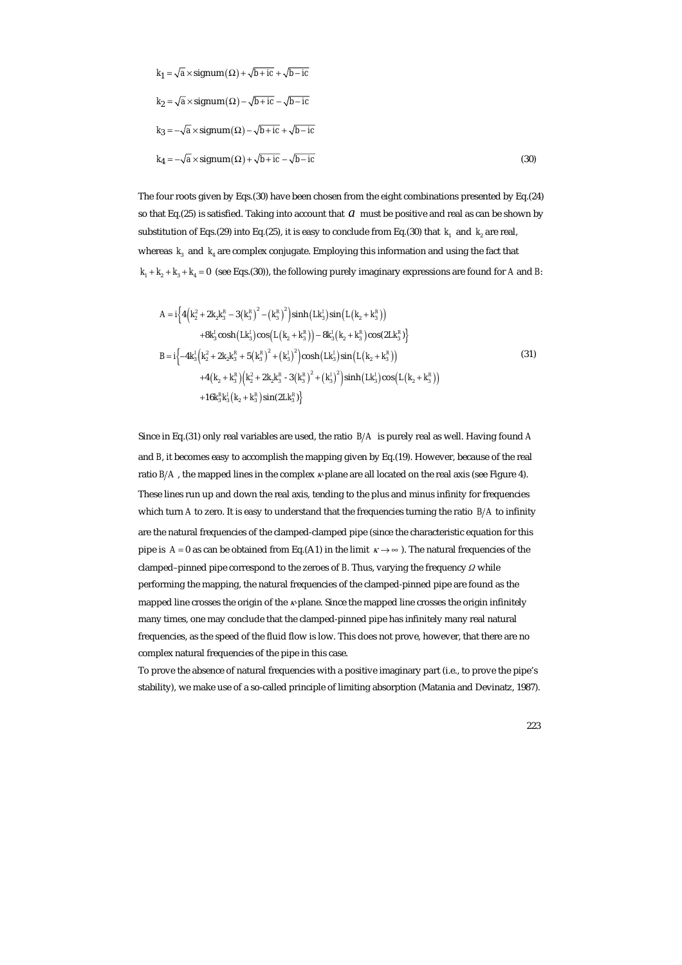$$
k_1 = \sqrt{a} \times \text{signum}(\Omega) + \sqrt{b + ic} + \sqrt{b - ic}
$$
  
\n
$$
k_2 = \sqrt{a} \times \text{signum}(\Omega) - \sqrt{b + ic} - \sqrt{b - ic}
$$
  
\n
$$
k_3 = -\sqrt{a} \times \text{signum}(\Omega) - \sqrt{b + ic} + \sqrt{b - ic}
$$
  
\n
$$
k_4 = -\sqrt{a} \times \text{signum}(\Omega) + \sqrt{b + ic} - \sqrt{b - ic}
$$
\n(30)

The four roots given by Eqs.(30) have been chosen from the eight combinations presented by Eq.(24) so that Eq.(25) is satisfied. Taking into account that *a* must be positive and real as can be shown by substitution of Eqs.(29) into Eq.(25), it is easy to conclude from Eq.(30) that  $k_1$  and  $k_2$  are real, whereas  $k_3$  and  $k_4$  are complex conjugate. Employing this information and using the fact that  $k_1 + k_2 + k_3 + k_4 = 0$  (see Eqs.(30)), the following purely imaginary expressions are found for *A* and *B*:

$$
A = i\Big\{4\Big(k_{2}^{2} + 2k_{2}k_{3}^{R} - 3\Big(k_{3}^{R}\Big)^{2} - \Big(k_{3}^{R}\Big)^{2}\Big)\sinh\Big(Lk_{3}^{I}\Big)\sin\Big(L\Big(k_{2} + k_{3}^{R}\Big)\Big) +8k_{3}^{I}\cosh\Big(Lk_{3}^{I}\Big)\cos\Big(L\Big(k_{2} + k_{3}^{R}\Big)\Big) - 8k_{3}^{I}\Big(k_{2} + k_{3}^{R}\Big)\cos\Big(2Lk_{3}^{R}\Big)\Big\} B = i\Big\{-4k_{3}^{I}\Big(k_{2}^{2} + 2k_{2}k_{3}^{R} + 5\Big(k_{3}^{R}\Big)^{2} + \Big(k_{3}^{I}\Big)^{2}\Big)\cosh\Big(Lk_{3}^{I}\Big)\sin\Big(L\Big(k_{2} + k_{3}^{R}\Big)\Big) +4\Big(k_{2} + k_{3}^{R}\Big)\Big(k_{2}^{2} + 2k_{2}k_{3}^{R} - 3\Big(k_{3}^{R}\Big)^{2} + \Big(k_{3}^{I}\Big)^{2}\Big)\sinh\Big(Lk_{3}^{I}\Big)\cos\Big(L\Big(k_{2} + k_{3}^{R}\Big)\Big) +16k_{3}^{R}k_{3}^{I}\Big(k_{2} + k_{3}^{R}\Big)\sin\Big(2Lk_{3}^{R}\Big)\Big\}
$$
(31)

Since in Eq.(31) only real variables are used, the ratio  $B/A$  is purely real as well. Having found A and *B*, it becomes easy to accomplish the mapping given by Eq.(19). However, because of the real ratio  $B/A$ , the mapped lines in the complex  $\kappa$ -plane are all located on the real axis (see Figure 4). These lines run up and down the real axis, tending to the plus and minus infinity for frequencies which turn *A* to zero. It is easy to understand that the frequencies turning the ratio  $B/A$  to infinity are the natural frequencies of the clamped-clamped pipe (since the characteristic equation for this pipe is  $A = 0$  as can be obtained from Eq.(A1) in the limit  $\kappa \rightarrow \infty$ ). The natural frequencies of the clamped–pinned pipe correspond to the zeroes of *B*. Thus, varying the frequency *Ω* while performing the mapping, the natural frequencies of the clamped-pinned pipe are found as the mapped line crosses the origin of the κ-plane. Since the mapped line crosses the origin infinitely many times, one may conclude that the clamped-pinned pipe has infinitely many real natural frequencies, as the speed of the fluid flow is low. This does not prove, however, that there are no complex natural frequencies of the pipe in this case.

To prove the absence of natural frequencies with a positive imaginary part (i.e., to prove the pipe's stability), we make use of a so-called principle of limiting absorption (Matania and Devinatz, 1987).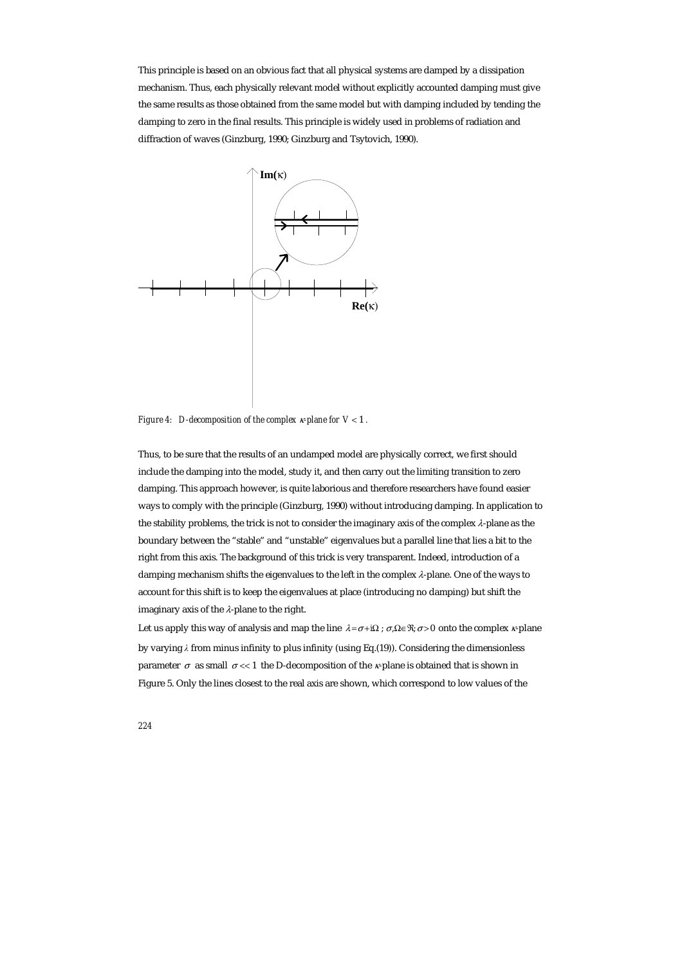This principle is based on an obvious fact that all physical systems are damped by a dissipation mechanism. Thus, each physically relevant model without explicitly accounted damping must give the same results as those obtained from the same model but with damping included by tending the damping to zero in the final results. This principle is widely used in problems of radiation and diffraction of waves (Ginzburg, 1990; Ginzburg and Tsytovich, 1990).



*Figure 4: D-decomposition of the complex* κ*-plane for V* < 1 *.* 

Thus, to be sure that the results of an undamped model are physically correct, we first should include the damping into the model, study it, and then carry out the limiting transition to zero damping. This approach however, is quite laborious and therefore researchers have found easier ways to comply with the principle (Ginzburg, 1990) without introducing damping. In application to the stability problems, the trick is not to consider the imaginary axis of the complex λ-plane as the boundary between the "stable" and "unstable" eigenvalues but a parallel line that lies a bit to the right from this axis. The background of this trick is very transparent. Indeed, introduction of a damping mechanism shifts the eigenvalues to the left in the complex  $\lambda$ -plane. One of the ways to account for this shift is to keep the eigenvalues at place (introducing no damping) but shift the imaginary axis of the  $\lambda$ -plane to the right.

Let us apply this way of analysis and map the line  $\lambda = \sigma + i\Omega$ ;  $\sigma, \Omega \in \mathcal{R}$ ;  $\sigma > 0$  onto the complex  $\kappa$ -plane by varying *λ* from minus infinity to plus infinity (using Eq.(19)). Considering the dimensionless parameter  $\sigma$  as small  $\sigma \ll 1$  the D-decomposition of the *κ*-plane is obtained that is shown in Figure 5. Only the lines closest to the real axis are shown, which correspond to low values of the

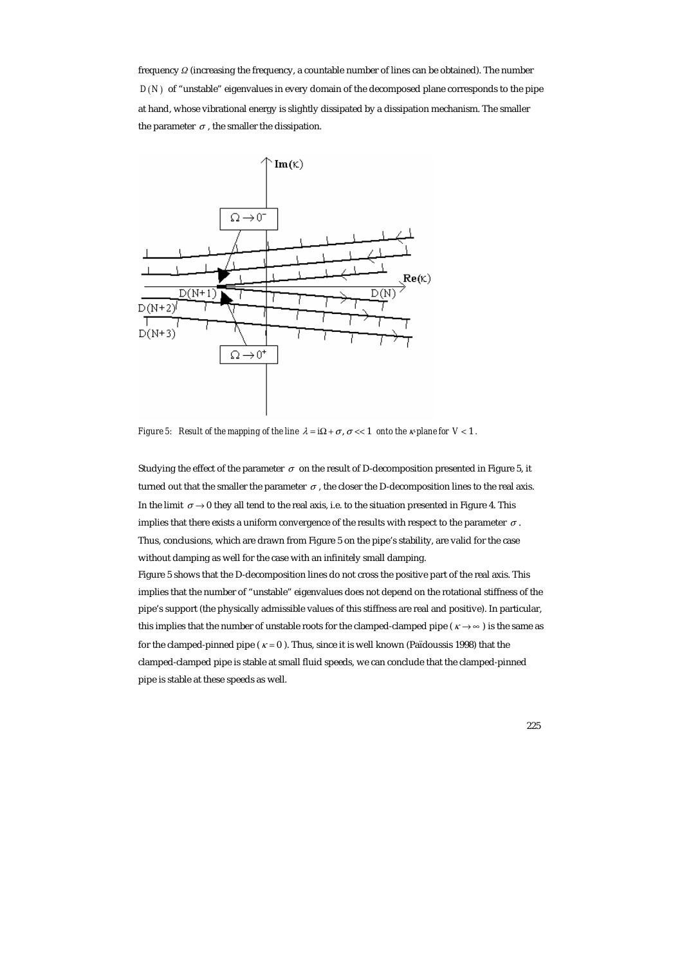frequency *Ω* (increasing the frequency, a countable number of lines can be obtained). The number  $D(N)$  of "unstable" eigenvalues in every domain of the decomposed plane corresponds to the pipe at hand, whose vibrational energy is slightly dissipated by a dissipation mechanism. The smaller the parameter  $\sigma$ , the smaller the dissipation.



*Figure 5: Result of the mapping of the line*  $\lambda = i\Omega + \sigma$ ,  $\sigma \ll 1$  *onto the x-plane for*  $V \ll 1$ *.* 

Studying the effect of the parameter  $\sigma$  on the result of D-decomposition presented in Figure 5, it turned out that the smaller the parameter  $\sigma$ , the closer the D-decomposition lines to the real axis. In the limit  $\sigma \rightarrow 0$  they all tend to the real axis, i.e. to the situation presented in Figure 4. This implies that there exists a uniform convergence of the results with respect to the parameter  $\sigma$ . Thus, conclusions, which are drawn from Figure 5 on the pipe's stability, are valid for the case without damping as well for the case with an infinitely small damping.

Figure 5 shows that the D-decomposition lines do not cross the positive part of the real axis. This implies that the number of "unstable" eigenvalues does not depend on the rotational stiffness of the pipe's support (the physically admissible values of this stiffness are real and positive). In particular, this implies that the number of unstable roots for the clamped-clamped pipe ( $\kappa \rightarrow \infty$ ) is the same as for the clamped-pinned pipe ( $\kappa = 0$ ). Thus, since it is well known (Païdoussis 1998) that the clamped-clamped pipe is stable at small fluid speeds, we can conclude that the clamped-pinned pipe is stable at these speeds as well.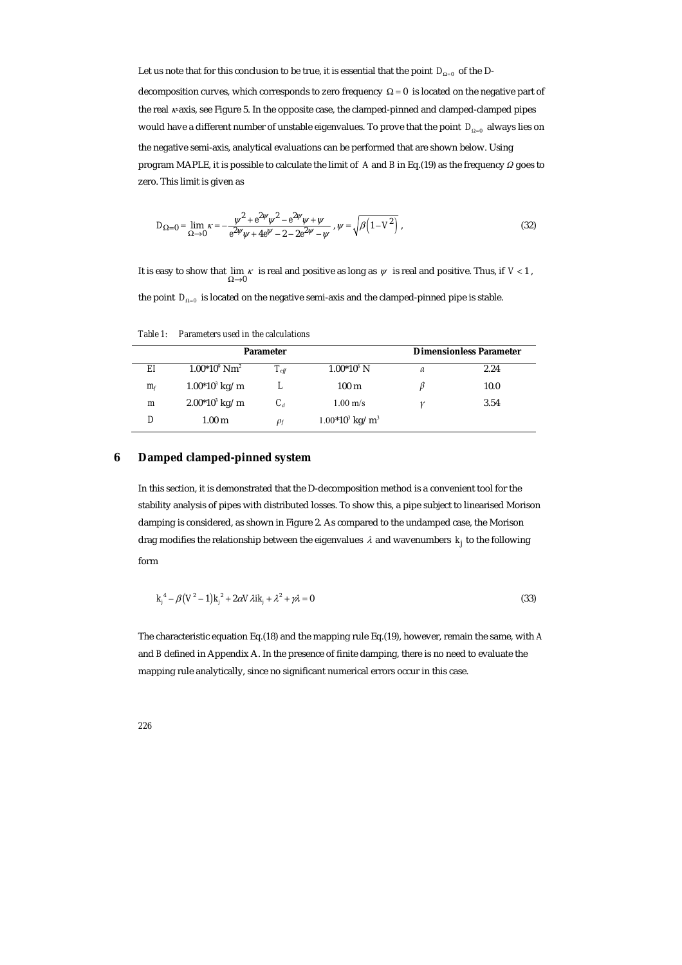Let us note that for this conclusion to be true, it is essential that the point  $D_{0-0}$  of the Ddecomposition curves, which corresponds to zero frequency  $\Omega = 0$  is located on the negative part of the real  $\kappa$ -axis, see Figure 5. In the opposite case, the clamped-pinned and clamped-clamped pipes would have a different number of unstable eigenvalues. To prove that the point *D*<sub>Ω=0</sub> always lies on the negative semi-axis, analytical evaluations can be performed that are shown below. Using program MAPLE, it is possible to calculate the limit of *A* and *B* in Eq.(19) as the frequency *Ω* goes to zero. This limit is given as

$$
D_{\Omega=0} = \lim_{\Omega \to 0} \kappa = -\frac{\psi^2 + e^{2\psi}\psi^2 - e^{2\psi}\psi + \psi}{e^{2\psi}\psi + 4e^{\psi} - 2 - 2e^{2\psi} - \psi}, \ \psi = \sqrt{\beta \left(1 - V^2\right)} \ , \tag{32}
$$

It is easy to show that  $\lim_{\Omega \to 0} \kappa$  is real and positive as long as  $\psi$  is real and positive. Thus, if  $V < 1$ ,

the point  $D_{\Omega=0}$  is located on the negative semi-axis and the clamped-pinned pipe is stable.

*Table 1: Parameters used in the calculations* 

|       | <b>Parameter</b>            |               |                              | <b>Dimensionless Parameter</b> |      |
|-------|-----------------------------|---------------|------------------------------|--------------------------------|------|
| EI    | $1.00*10^9$ Nm <sup>2</sup> | $T_{\it eff}$ | $1.00*10^6$ N                | a                              | 2.24 |
| $m_f$ | $1.00*10^3$ kg/m            | L             | 100 <sub>m</sub>             |                                | 10.0 |
| m     | $2.00*10^3$ kg/m            | $C_d$         | $1.00 \text{ m/s}$           |                                | 3.54 |
|       | $1.00 \;{\rm m}$            | $\rho_f$      | $1.00*103$ kg/m <sup>3</sup> |                                |      |

#### **6 Damped clamped-pinned system**

In this section, it is demonstrated that the D-decomposition method is a convenient tool for the stability analysis of pipes with distributed losses. To show this, a pipe subject to linearised Morison damping is considered, as shown in Figure 2. As compared to the undamped case, the Morison drag modifies the relationship between the eigenvalues  $\lambda$  and wavenumbers  $k_i$  to the following form

$$
k_j^4 - \beta (V^2 - 1) k_j^2 + 2\alpha V \lambda i k_j + \lambda^2 + \gamma \lambda = 0
$$
\n(33)

The characteristic equation Eq.(18) and the mapping rule Eq.(19), however, remain the same, with *A* and *B* defined in Appendix A. In the presence of finite damping, there is no need to evaluate the mapping rule analytically, since no significant numerical errors occur in this case.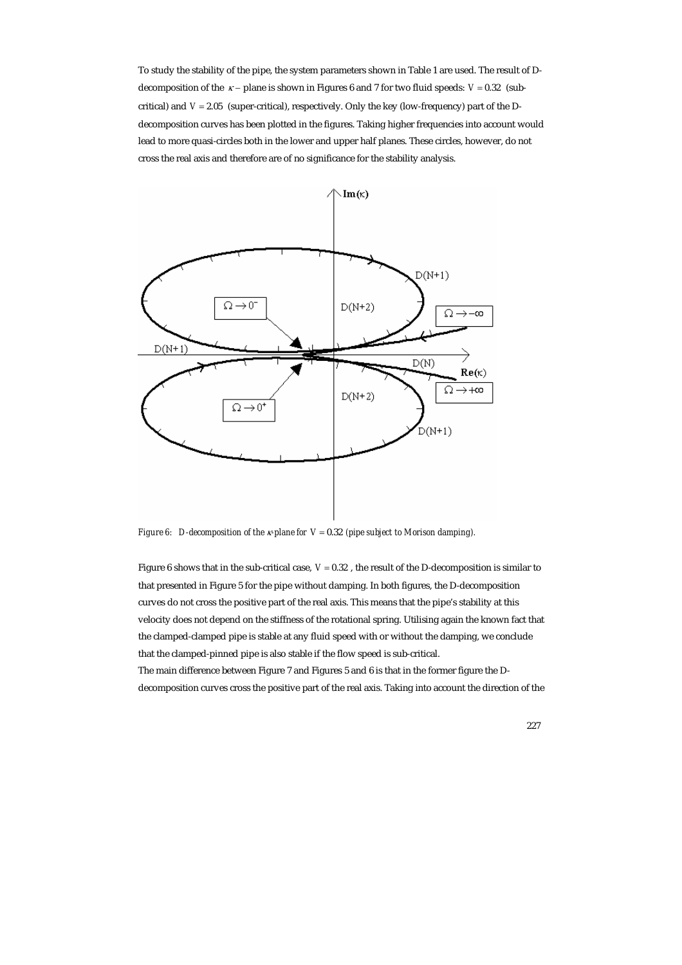To study the stability of the pipe, the system parameters shown in Table 1 are used. The result of Ddecomposition of the  $\kappa$  – plane is shown in Figures 6 and 7 for two fluid speeds:  $V = 0.32$  (subcritical) and *V* = 2.05 (super-critical), respectively. Only the key (low-frequency) part of the Ddecomposition curves has been plotted in the figures. Taking higher frequencies into account would lead to more quasi-circles both in the lower and upper half planes. These circles, however, do not cross the real axis and therefore are of no significance for the stability analysis.



*Figure 6: D-decomposition of the* κ*-plane for V* = 0.32 *(pipe subject to Morison damping).* 

Figure 6 shows that in the sub-critical case, *V* = 0.32 , the result of the D-decomposition is similar to that presented in Figure 5 for the pipe without damping. In both figures, the D-decomposition curves do not cross the positive part of the real axis. This means that the pipe's stability at this velocity does not depend on the stiffness of the rotational spring. Utilising again the known fact that the clamped-clamped pipe is stable at any fluid speed with or without the damping, we conclude that the clamped-pinned pipe is also stable if the flow speed is sub-critical.

The main difference between Figure 7 and Figures 5 and 6 is that in the former figure the Ddecomposition curves cross the positive part of the real axis. Taking into account the direction of the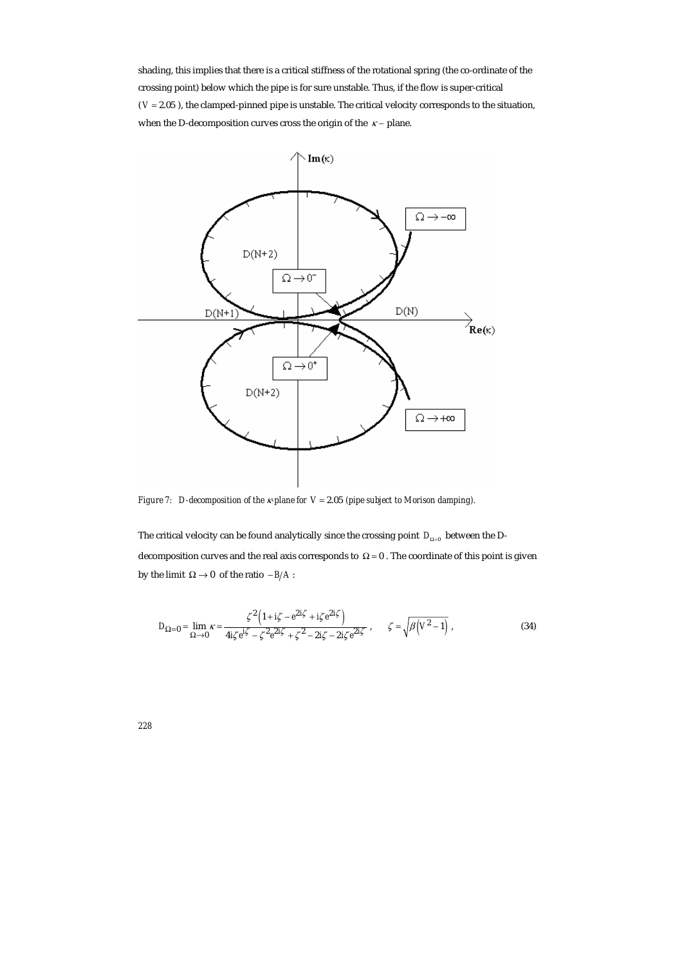shading, this implies that there is a critical stiffness of the rotational spring (the co-ordinate of the crossing point) below which the pipe is for sure unstable. Thus, if the flow is super-critical  $(V = 2.05)$ , the clamped-pinned pipe is unstable. The critical velocity corresponds to the situation, when the D-decomposition curves cross the origin of the  $\kappa$  – plane.



*Figure 7: D-decomposition of the* κ*-plane for V* = 2.05 *(pipe subject to Morison damping).* 

The critical velocity can be found analytically since the crossing point  $D_{\Omega=0}$  between the Ddecomposition curves and the real axis corresponds to  $\Omega = 0$  . The coordinate of this point is given by the limit  $\Omega \rightarrow 0$  of the ratio  $-B/A$ :

$$
D_{\Omega=0} = \lim_{\Omega \to 0} \kappa = \frac{\zeta^2 \left(1 + i\zeta - e^{2i\zeta} + i\zeta e^{2i\zeta}\right)}{4i\zeta e^{i\zeta} - \zeta^2 e^{2i\zeta} + \zeta^2 - 2i\zeta - 2i\zeta e^{2i\zeta}}, \qquad \zeta = \sqrt{\beta \left(V^2 - 1\right)}\,,\tag{34}
$$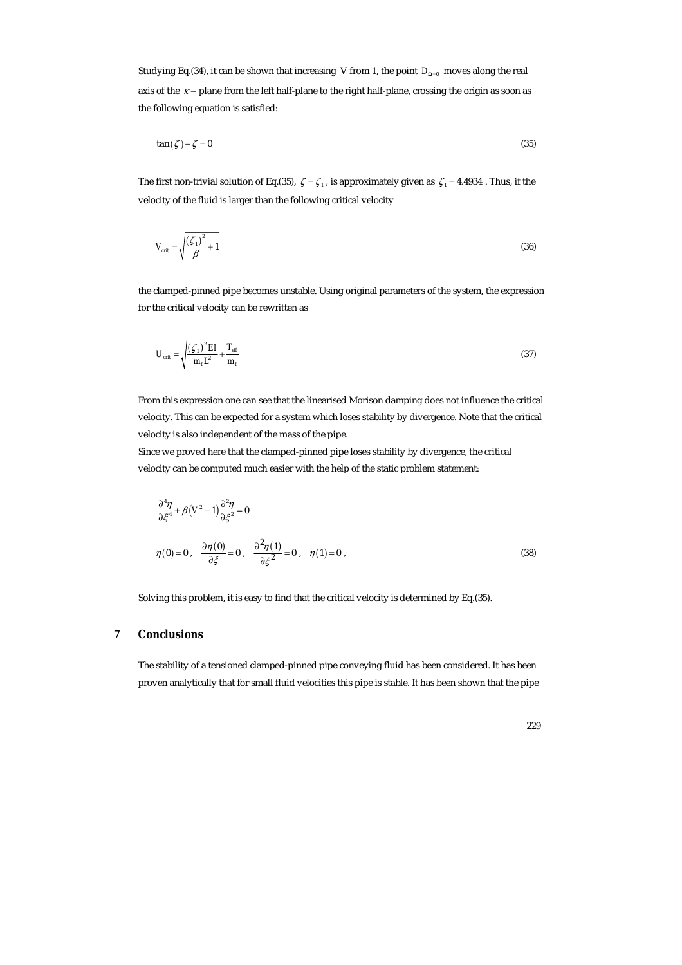Studying Eq.(34), it can be shown that increasing V from 1, the point *D*<sub>Ω=0</sub> moves along the real axis of the *κ* − plane from the left half-plane to the right half-plane, crossing the origin as soon as the following equation is satisfied:

$$
\tan(\zeta) - \zeta = 0\tag{35}
$$

The first non-trivial solution of Eq.(35),  $\zeta = \zeta_1$ , is approximately given as  $\zeta_1 = 4.4934$ . Thus, if the velocity of the fluid is larger than the following critical velocity

$$
V_{\text{crit}} = \sqrt{\frac{\left(\zeta_1\right)^2}{\beta} + 1} \tag{36}
$$

the clamped-pinned pipe becomes unstable. Using original parameters of the system, the expression for the critical velocity can be rewritten as

$$
U_{\text{crit}} = \sqrt{\frac{\left(\zeta_1\right)^2 EI}{m_f L^2} + \frac{T_{\text{eff}}}{m_f}}
$$
\n
$$
\tag{37}
$$

From this expression one can see that the linearised Morison damping does not influence the critical velocity. This can be expected for a system which loses stability by divergence. Note that the critical velocity is also independent of the mass of the pipe.

Since we proved here that the clamped-pinned pipe loses stability by divergence, the critical velocity can be computed much easier with the help of the static problem statement:

$$
\frac{\partial^4 \eta}{\partial \xi^4} + \beta (V^2 - 1) \frac{\partial^2 \eta}{\partial \xi^2} = 0
$$
  

$$
\eta(0) = 0, \quad \frac{\partial \eta(0)}{\partial \xi} = 0, \quad \frac{\partial^2 \eta(1)}{\partial \xi^2} = 0, \quad \eta(1) = 0,
$$
 (38)

Solving this problem, it is easy to find that the critical velocity is determined by Eq.(35).

## **7 Conclusions**

The stability of a tensioned clamped-pinned pipe conveying fluid has been considered. It has been proven analytically that for small fluid velocities this pipe is stable. It has been shown that the pipe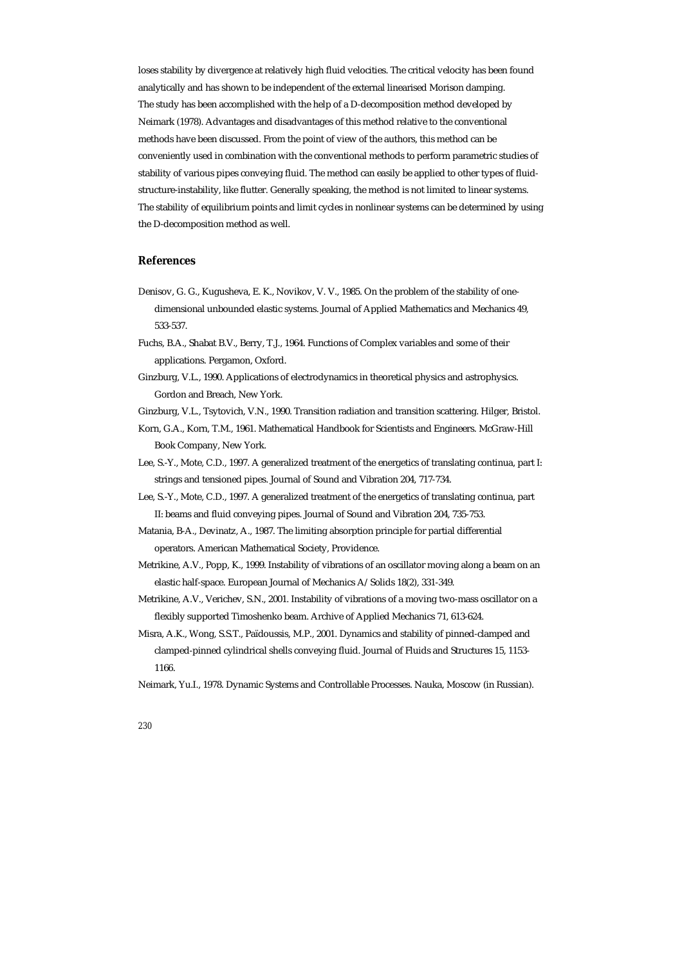loses stability by divergence at relatively high fluid velocities. The critical velocity has been found analytically and has shown to be independent of the external linearised Morison damping. The study has been accomplished with the help of a D-decomposition method developed by Neimark (1978). Advantages and disadvantages of this method relative to the conventional methods have been discussed. From the point of view of the authors, this method can be conveniently used in combination with the conventional methods to perform parametric studies of stability of various pipes conveying fluid. The method can easily be applied to other types of fluidstructure-instability, like flutter. Generally speaking, the method is not limited to linear systems. The stability of equilibrium points and limit cycles in nonlinear systems can be determined by using the D-decomposition method as well.

#### **References**

- Denisov, G. G., Kugusheva, E. K., Novikov, V. V., 1985. On the problem of the stability of onedimensional unbounded elastic systems. Journal of Applied Mathematics and Mechanics 49, 533-537.
- Fuchs, B.A., Shabat B.V., Berry, T.J., 1964. Functions of Complex variables and some of their applications. Pergamon, Oxford.
- Ginzburg, V.L., 1990. Applications of electrodynamics in theoretical physics and astrophysics. Gordon and Breach, New York.
- Ginzburg, V.L., Tsytovich, V.N., 1990. Transition radiation and transition scattering. Hilger, Bristol.
- Korn, G.A., Korn, T.M., 1961. Mathematical Handbook for Scientists and Engineers. McGraw-Hill Book Company, New York.
- Lee, S.-Y., Mote, C.D., 1997. A generalized treatment of the energetics of translating continua, part I: strings and tensioned pipes. Journal of Sound and Vibration 204, 717-734.
- Lee, S.-Y., Mote, C.D., 1997. A generalized treatment of the energetics of translating continua, part II: beams and fluid conveying pipes. Journal of Sound and Vibration 204, 735-753.
- Matania, B-A., Devinatz, A., 1987. The limiting absorption principle for partial differential operators. American Mathematical Society, Providence.
- Metrikine, A.V., Popp, K., 1999. Instability of vibrations of an oscillator moving along a beam on an elastic half-space. European Journal of Mechanics A/Solids 18(2), 331-349.
- Metrikine, A.V., Verichev, S.N., 2001. Instability of vibrations of a moving two-mass oscillator on a flexibly supported Timoshenko beam. Archive of Applied Mechanics 71, 613-624.
- Misra, A.K., Wong, S.S.T., Païdoussis, M.P., 2001. Dynamics and stability of pinned-clamped and clamped-pinned cylindrical shells conveying fluid. Journal of Fluids and Structures 15, 1153- 1166.
- Neimark, Yu.I., 1978. Dynamic Systems and Controllable Processes. Nauka, Moscow (in Russian).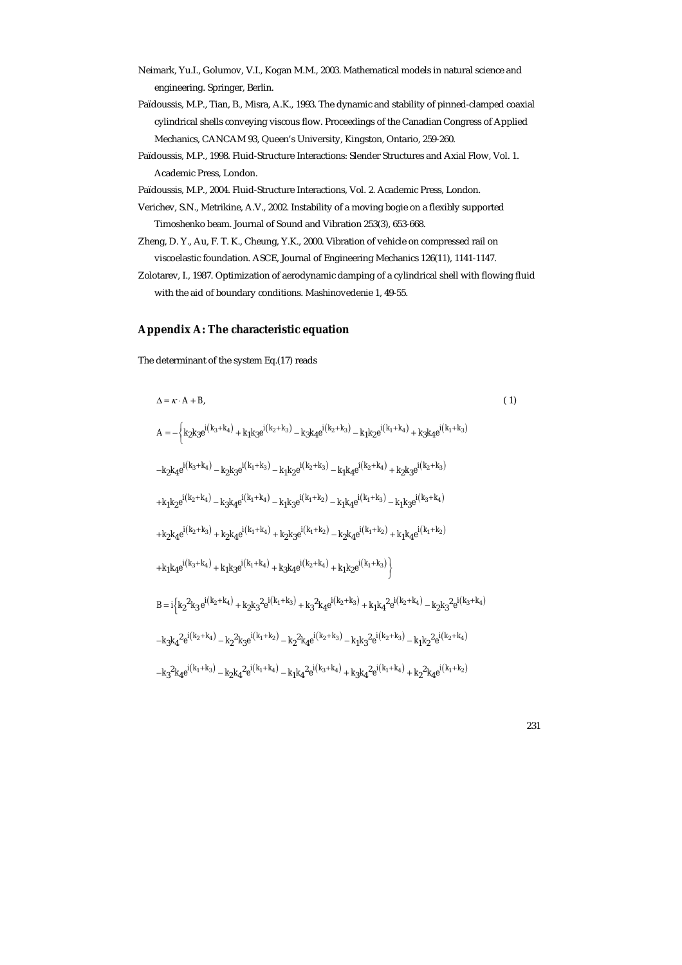- Neimark, Yu.I., Golumov, V.I., Kogan M.M., 2003. Mathematical models in natural science and engineering. Springer, Berlin.
- Païdoussis, M.P., Tian, B., Misra, A.K., 1993. The dynamic and stability of pinned-clamped coaxial cylindrical shells conveying viscous flow. Proceedings of the Canadian Congress of Applied Mechanics, CANCAM 93, Queen's University, Kingston, Ontario, 259-260.
- Païdoussis, M.P., 1998. Fluid-Structure Interactions: Slender Structures and Axial Flow, Vol. 1. Academic Press, London.
- Païdoussis, M.P., 2004. Fluid-Structure Interactions, Vol. 2. Academic Press, London.
- Verichev, S.N., Metrikine, A.V., 2002. Instability of a moving bogie on a flexibly supported Timoshenko beam. Journal of Sound and Vibration 253(3), 653-668.
- Zheng, D. Y., Au, F. T. K., Cheung, Y.K., 2000. Vibration of vehicle on compressed rail on viscoelastic foundation. ASCE, Journal of Engineering Mechanics 126(11), 1141-1147.
- Zolotarev, I., 1987. Optimization of aerodynamic damping of a cylindrical shell with flowing fluid with the aid of boundary conditions. Mashinovedenie 1, 49-55.

## **Appendix A: The characteristic equation**

The determinant of the system Eq.(17) reads

$$
\Delta = \kappa \cdot A + B,
$$
\n(1)  
\n
$$
A = -\left\{ k_{2}k_{3}e^{i(k_{3}+k_{4})} + k_{1}k_{3}e^{i(k_{2}+k_{3})} - k_{3}k_{4}e^{i(k_{2}+k_{3})} - k_{1}k_{2}e^{i(k_{1}+k_{4})} + k_{3}k_{4}e^{i(k_{1}+k_{3})} \right.
$$
\n
$$
-k_{2}k_{4}e^{i(k_{3}+k_{4})} - k_{2}k_{3}e^{i(k_{1}+k_{3})} - k_{1}k_{2}e^{i(k_{2}+k_{3})} - k_{1}k_{4}e^{i(k_{2}+k_{4})} + k_{2}k_{3}e^{i(k_{2}+k_{3})} \right.
$$
\n
$$
+ k_{1}k_{2}e^{i(k_{2}+k_{4})} - k_{3}k_{4}e^{i(k_{1}+k_{4})} - k_{1}k_{3}e^{i(k_{1}+k_{2})} - k_{1}k_{4}e^{i(k_{1}+k_{3})} - k_{1}k_{3}e^{i(k_{3}+k_{4})} \right.
$$
\n
$$
+ k_{2}k_{4}e^{i(k_{2}+k_{3})} + k_{2}k_{4}e^{i(k_{1}+k_{4})} + k_{2}k_{3}e^{i(k_{1}+k_{2})} - k_{2}k_{4}e^{i(k_{1}+k_{2})} + k_{1}k_{4}e^{i(k_{1}+k_{2})} \right.
$$
\n
$$
+ k_{1}k_{4}e^{i(k_{3}+k_{4})} + k_{1}k_{3}e^{i(k_{1}+k_{4})} + k_{3}k_{4}e^{i(k_{2}+k_{4})} + k_{1}k_{2}e^{i(k_{1}+k_{3})} \right\}
$$
\n
$$
B = i\left\{ k_{2}^{2}k_{3}e^{i(k_{2}+k_{4})} + k_{2}k_{3}^{2}e^{i(k_{1}+k_{3})} + k_{3}^{2}k_{4}e^{i(k_{2}+k_{3})} + k_{1}k_{4}^{2}e^{i(k_{2}+k_{4})} - k_{2}k_{3}^{2}e^{i(k_{3}+k_{4})} \right.
$$
\n<